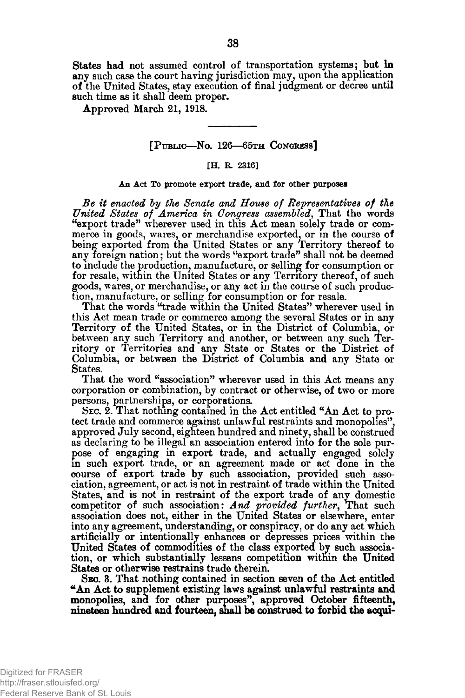States had not assumed control of transportation systems; but **in** any such case the court having jurisdiction may, upon the application of the United States, stay execution of final judgment or decree until such time as it shall deem proper.

Approved March 21, 1918.

# $[P$  u b lic—No. 126—65th Congress]

## [H. R. 2316]

#### An Act To promote export trade, and for other purposes

*Be it enacted by the Senate and House of Representatives of the United States of America in Congress assembled*, That the words "export trade" wherever used in this Act mean solely trade or commerce in goods, wares, or merchandise exported, or in the course of being exported from the United States or any Territory thereof to any foreign nation; but the words "export trade" shall not be deemed to include the production, manufacture, or selling for consumption or for resale, within the United States or any Territory thereof, of such goods, wares, or merchandise, or any act in the course of such production, manufacture, or selling for consumption or for resale.

That the words "trade within the United States" wherever used in this Act mean trade or commerce among the several States or in any Territory of the United States, or in the District of Columbia, or between any such Territory and another, or between any such Territory or Territories and any State or States or the District of Columbia, or between the District of Columbia and any State or States.

That the word "association" wherever used in this Act means any corporation or combination, by contract or otherwise, of two or more persons, partnerships, or corporations.

SEC. 2. That nothing contained in the Act entitled "An Act to protect trade and commerce against unlawful restraints and monopolies", approved July second, eighteen hundred and ninety, shall be construed as declaring to be illegal an association entered into for the sole purpose of engaging in export trade, and actually engaged solely in such export trade, or an agreement made or act done in the course of export trade by such association, provided such association, agreement, or act is not in restraint of trade within the United States, and is not in restraint of the export trade of any domestic competitor of such association: *And provided further*, That such association does not, either in the United States or elsewhere, enter into any agreement, understanding, or conspiracy, or do any act which artificially or intentionally enhances or depresses prices within the United States of commodities of the class exported by such association, or which substantially lessens competition within the United States or otherwise restrains trade therein.

Seo. 3. That nothing contained in section seven of the Act entitled "An Act to supplement existing laws against unlawful restraints and monopolies, and for other purposes", approved October fifteenth, nineteen hundred and fourteen, snail be construed to forbid the **acqui-**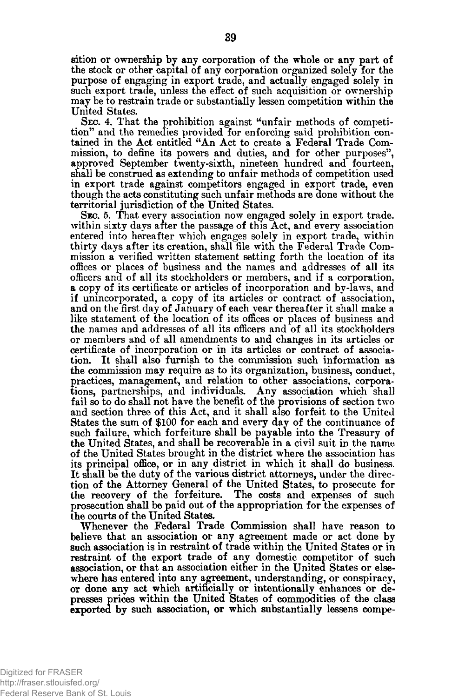sition or ownership by any corporation of the whole or any part of the stock or other capital of any corporation organized solely for the purpose of engaging in export trade, and actually engaged solely in such export trade, unless the effect of such acquisition or ownership may be to restrain trade or substantially lessen competition within the United States.

SEC. 4. That the prohibition against "unfair methods of competition" and the remedies provided for enforcing said prohibition contained in the Act entitled "An Act to create a Federal Trade Commission, to define its powers and duties, and for other purposes", approved September twenty-sixth, nineteen hundred and fourteen, shall be construed as extending to unfair methods of competition used in export trade against competitors engaged in export trade, even though the acts constituting such unfair methods are done without the territorial jurisdiction of the United States.

SEC. 5. That every association now engaged solely in export trade. within sixty days after the passage of this Act, and every association entered into hereafter which engages solely in export trade, within thirty days after its creation, shall file with the Federal Trade Commission a verified written statement setting forth the location of its offices or places of business and the names and addresses of all its officers and of all its stockholders or members, and if a corporation, a copy of its certificate or articles of incorporation and by-laws, and if unincorporated, a copy of its articles or contract of association, and on the first day of January of each year thereafter it shall make a like statement of the location of its offices or places of business and the names and addresses of all its officers and of all its stockholders or members and of all amendments to and changes in its articles or certificate of incorporation or in its articles or contract of association. It shall also furnish to the commission such information as the commission may require as to its organization, business, conduct, practices, management, and relation to other associations, corporations, partnerships, and individuals. Any association which shall fail so to do shall not have the benefit of the provisions of section two and section three of this Act, and it shall also forfeit to the United States the sum of \$100 for each and every day of the continuance of such failure, which forfeiture shall be payable into the Treasury of the United States, and shall be recoverable in a civil suit in the name of the United States brought in the district where the association has its principal office, or in any district in which it shall do business. It shall be the duty of the various district attorneys, under the direction of the Attorney General of the United States, to prosecute for the recovery of the forfeiture. The costs and expenses of such prosecution shall be paid out of the appropriation for the expenses of the courts of the United States.

Whenever the Federal Trade Commission shall have reason to believe that an association or any agreement made or act done by such association is in restraint of trade within the United States or in restraint of the export trade of any domestic competitor of such association, or that an association either in the United States or elsewhere has entered into any agreement, understanding, or conspiracy, or done any act which artificially or intentionally enhances or depresses prices within the United States of commodities of the class exported by such association, or which substantially lessens compe